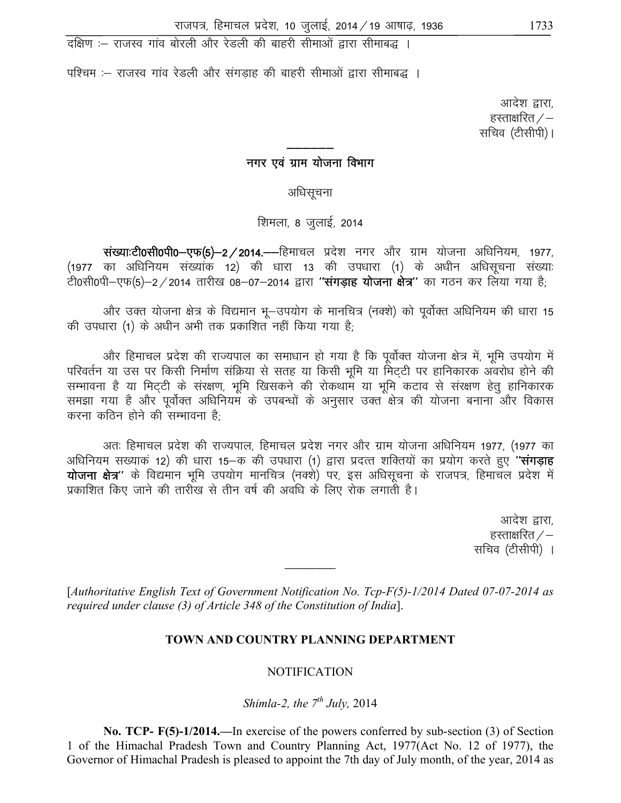#### TOWN AND COUNTRY PLANNING DEPARTMENT

#### **NOTIFICATION**

Shimla-2, the  $7^{th}$  July, 2014

**No. TCP-**  $F(5)-1/2014$ . In exercise of the powers conferred by sub-section (3) of Section 1 of the Himachal Pradesh Town and Country Planning Act, 1977 (Act No. 12 of 1977), the Governor of Himachal Pradesh is pleased to appoint the 7th day of July month, of the year, 2014 as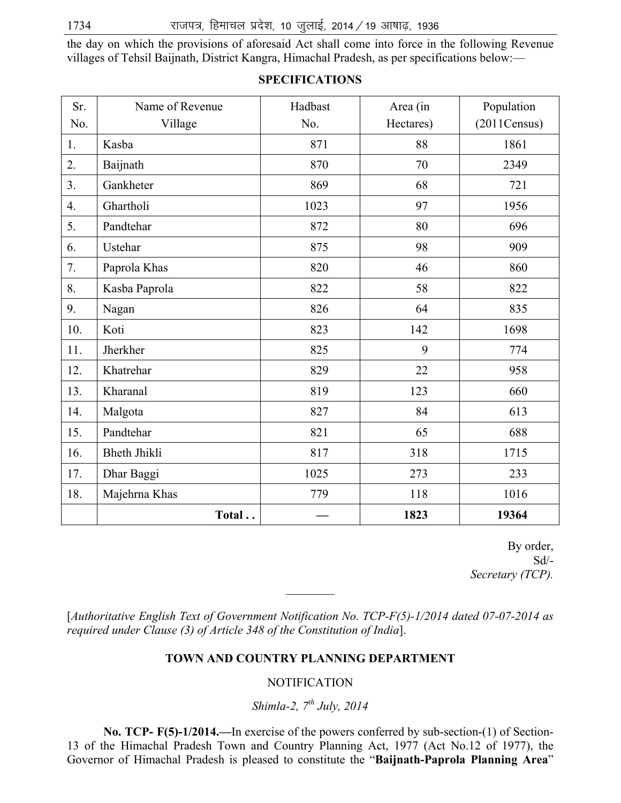the day on which the provisions of aforesaid Act shall come into force in the following Revenue villages of Tehsil Baijnath, District Kangra, Himachal Pradesh, as per specifications below:—

| Sr. | Name of Revenue     | Hadbast | Area (in  | Population   |
|-----|---------------------|---------|-----------|--------------|
| No. | Village             | No.     | Hectares) | (2011Census) |
| 1.  | Kasba               | 871     | 88        | 1861         |
| 2.  | Baijnath            | 870     | 70        | 2349         |
| 3.  | Gankheter           | 869     | 68        | 721          |
| 4.  | Ghartholi           | 1023    | 97        | 1956         |
| 5.  | Pandtehar           | 872     | 80        | 696          |
| 6.  | Ustehar             | 875     | 98        | 909          |
| 7.  | Paprola Khas        | 820     | 46        | 860          |
| 8.  | Kasba Paprola       | 822     | 58        | 822          |
| 9.  | Nagan               | 826     | 64        | 835          |
| 10. | Koti                | 823     | 142       | 1698         |
| 11. | Jherkher            | 825     | 9         | 774          |
| 12. | Khatrehar           | 829     | 22        | 958          |
| 13. | Kharanal            | 819     | 123       | 660          |
| 14. | Malgota             | 827     | 84        | 613          |
| 15. | Pandtehar           | 821     | 65        | 688          |
| 16. | <b>Bheth Jhikli</b> | 817     | 318       | 1715         |
| 17. | Dhar Baggi          | 1025    | 273       | 233          |
| 18. | Majehrna Khas       | 779     | 118       | 1016         |
|     | Total               |         | 1823      | 19364        |

### **SPECIFICATIONS**

By order,  $Sd$ <sup>-</sup> *Secretary (TCP).* 

[*Authoritative English Text of Government Notification No. TCP-F(5)-1/2014 dated 07-07-2014 as required under Clause (3) of Article 348 of the Constitution of India*].

 $\frac{1}{2}$ 

### **TOWN AND COUNTRY PLANNING DEPARTMENT**

### **NOTIFICATION**

# *Shimla-2, 7th July, 2014*

 **No. TCP- F(5)-1/2014.—**In exercise of the powers conferred by sub-section-(1) of Section-13 of the Himachal Pradesh Town and Country Planning Act, 1977 (Act No.12 of 1977), the Governor of Himachal Pradesh is pleased to constitute the "**Baijnath-Paprola Planning Area**"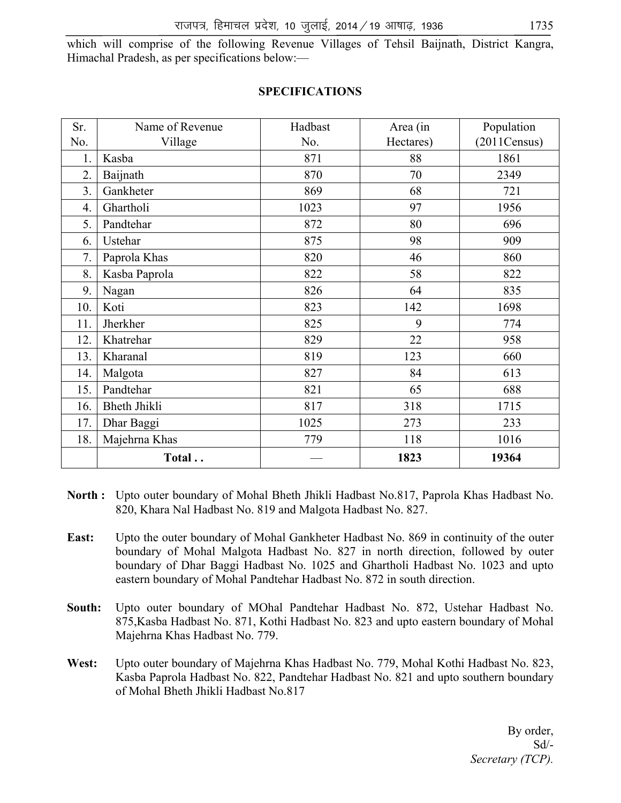which will comprise of the following Revenue Villages of Tehsil Baijnath, District Kangra, Himachal Pradesh, as per specifications below:—

| Sr. | Name of Revenue     | Hadbast | Area (in  | Population   |
|-----|---------------------|---------|-----------|--------------|
| No. | Village             | No.     | Hectares) | (2011Census) |
| 1.  | Kasba               | 871     | 88        | 1861         |
| 2.  | Baijnath            | 870     | 70        | 2349         |
| 3.  | Gankheter           | 869     | 68        | 721          |
| 4.  | Ghartholi           | 1023    | 97        | 1956         |
| 5.  | Pandtehar           | 872     | 80        | 696          |
| 6.  | Ustehar             | 875     | 98        | 909          |
| 7.  | Paprola Khas        | 820     | 46        | 860          |
| 8.  | Kasba Paprola       | 822     | 58        | 822          |
| 9.  | Nagan               | 826     | 64        | 835          |
| 10. | Koti                | 823     | 142       | 1698         |
| 11. | Jherkher            | 825     | 9         | 774          |
| 12. | Khatrehar           | 829     | 22        | 958          |
| 13. | Kharanal            | 819     | 123       | 660          |
| 14. | Malgota             | 827     | 84        | 613          |
| 15. | Pandtehar           | 821     | 65        | 688          |
| 16. | <b>Bheth Jhikli</b> | 817     | 318       | 1715         |
| 17. | Dhar Baggi          | 1025    | 273       | 233          |
| 18. | Majehrna Khas       | 779     | 118       | 1016         |
|     | Total               |         | 1823      | 19364        |

### **SPECIFICATIONS**

- North : Upto outer boundary of Mohal Bheth Jhikli Hadbast No.817, Paprola Khas Hadbast No. 820, Khara Nal Hadbast No. 819 and Malgota Hadbast No. 827.
- **East:** Upto the outer boundary of Mohal Gankheter Hadbast No. 869 in continuity of the outer boundary of Mohal Malgota Hadbast No. 827 in north direction, followed by outer boundary of Dhar Baggi Hadbast No. 1025 and Ghartholi Hadbast No. 1023 and upto eastern boundary of Mohal Pandtehar Hadbast No. 872 in south direction.
- **South:** Upto outer boundary of MOhal Pandtehar Hadbast No. 872, Ustehar Hadbast No. 875,Kasba Hadbast No. 871, Kothi Hadbast No. 823 and upto eastern boundary of Mohal Majehrna Khas Hadbast No. 779.
- **West:** Upto outer boundary of Majehrna Khas Hadbast No. 779, Mohal Kothi Hadbast No. 823, Kasba Paprola Hadbast No. 822, Pandtehar Hadbast No. 821 and upto southern boundary of Mohal Bheth Jhikli Hadbast No.817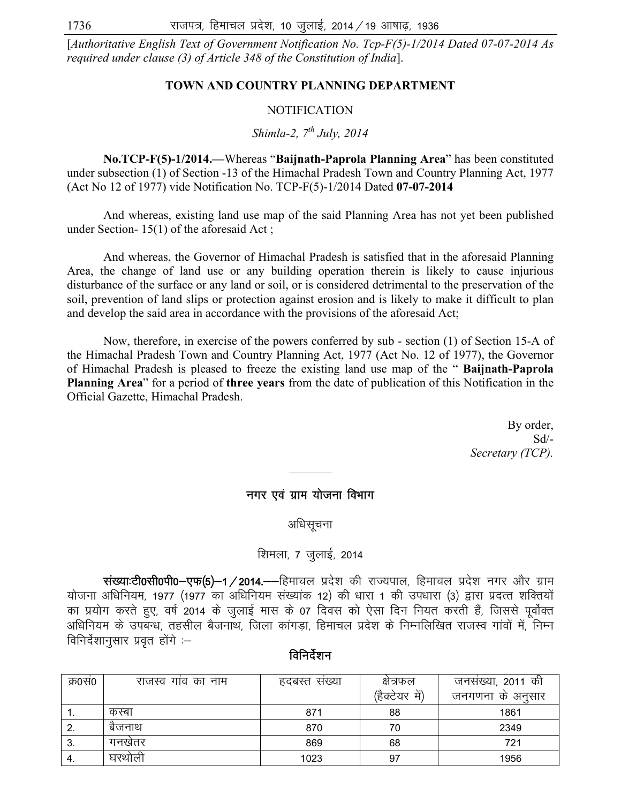[*Authoritative English Text of Government Notification No. Tcp-F(5)-1/2014 Dated 07-07-2014 As required under clause (3) of Article 348 of the Constitution of India*].

### **TOWN AND COUNTRY PLANNING DEPARTMENT**

#### NOTIFICATION

*Shimla-2, 7th July, 2014* 

 **No.TCP-F(5)-1/2014.—**Whereas "**Baijnath-Paprola Planning Area**" has been constituted under subsection (1) of Section -13 of the Himachal Pradesh Town and Country Planning Act, 1977 (Act No 12 of 1977) vide Notification No. TCP-F(5)-1/2014 Dated **07-07-2014**

 And whereas, existing land use map of the said Planning Area has not yet been published under Section- 15(1) of the aforesaid Act ;

 And whereas, the Governor of Himachal Pradesh is satisfied that in the aforesaid Planning Area, the change of land use or any building operation therein is likely to cause injurious disturbance of the surface or any land or soil, or is considered detrimental to the preservation of the soil, prevention of land slips or protection against erosion and is likely to make it difficult to plan and develop the said area in accordance with the provisions of the aforesaid Act;

 Now, therefore, in exercise of the powers conferred by sub - section (1) of Section 15-A of the Himachal Pradesh Town and Country Planning Act, 1977 (Act No. 12 of 1977), the Governor of Himachal Pradesh is pleased to freeze the existing land use map of the " **Baijnath-Paprola Planning Area**" for a period of **three years** from the date of publication of this Notification in the Official Gazette, Himachal Pradesh.

> By order,  $Sd$ <sup>-</sup> *Secretary (TCP).*

### नगर एवं ग्राम योजना विभाग

 $\mathcal{L}_\text{max}$ 

अधिसूचना

## शिमला, 7 जुलाई, 2014

संख्याःटी0सी0पी0-एफ(5)-1/2014.--हिमाचल प्रदेश की राज्यपाल, हिमाचल प्रदेश नगर और ग्राम योजना अधिनियम, 1977 (1977 का अधिनियम संख्यांक 12) की धारा 1 की उपधारा (3) द्वारा प्रदत्त शक्तियों का प्रयोग करते हुए, वर्ष 2014 के जुलाई मास के 07 दिवस को ऐसा दिन नियत करती हैं, जिससे पूर्वोक्त अधिनियम के उपबन्ध, तहसील बैजनाथ, जिला कांगडा, हिमाचल प्रदेश के निम्नलिखित राजस्व गांवों में, निम्न विनिर्देशानुसार प्रवृत होंगे $-$ 

|  | ावानदशन |  |
|--|---------|--|

| क्र0स0 | राजस्व गाव का नाम | हदबस्त सख्या | क्षत्रफल          | जनसंख्या, 2011 की |
|--------|-------------------|--------------|-------------------|-------------------|
|        |                   |              | (हैक्टेयर<br>ਸੇਂ` | जनगणना के अनुसार  |
| . .    | कस्बा             | 871          | 88                | 1861              |
|        | बैजनाथ            | 870          | 70                | 2349              |
| 3.     | गनखतर             | 869          | 68                | 721               |
| -4.    | घरथोली            | 1023         | 97                | 1956              |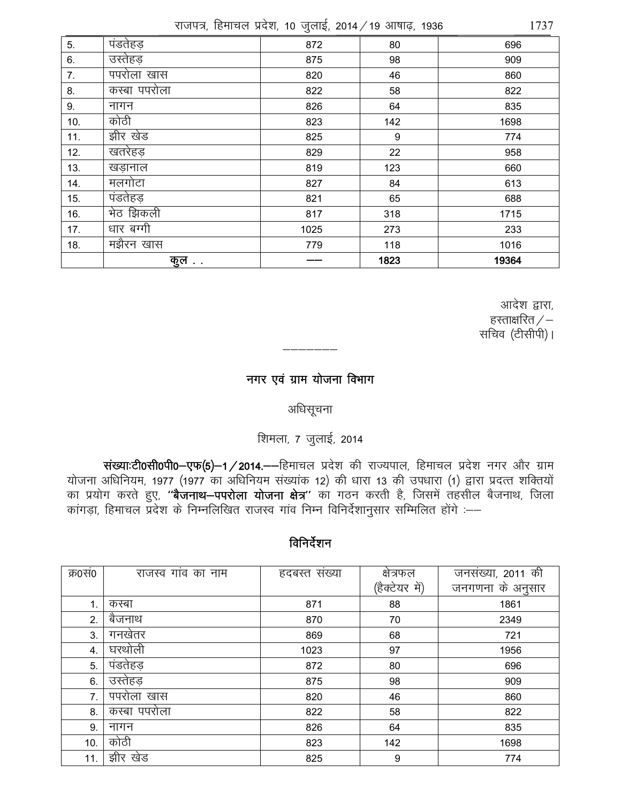राजपत्र, हिमाचल प्रदेश, 10 जुलाई, 2014 / 19 आषाढ, 1936

|     |              | ◡    |                  |       |
|-----|--------------|------|------------------|-------|
| 5.  | पंडतेहड़     | 872  | 80               | 696   |
| 6.  | उस्तेहड़     | 875  | 98               | 909   |
| 7.  | पपरोला खास   | 820  | 46               | 860   |
| 8.  | कस्बा पपरोला | 822  | 58               | 822   |
| 9.  | नागन         | 826  | 64               | 835   |
| 10. | कोठी         | 823  | 142              | 1698  |
| 11. | झीर खेड      | 825  | $\boldsymbol{9}$ | 774   |
| 12. | खतरेहड़      | 829  | 22               | 958   |
| 13. | खडानाल       | 819  | 123              | 660   |
| 14. | मलगोटा       | 827  | 84               | 613   |
| 15. | पंडतेहड़     | 821  | 65               | 688   |
| 16. | भेठ झिकली    | 817  | 318              | 1715  |
| 17. | धार बग्गी    | 1025 | 273              | 233   |
| 18. | मझैरन खास    | 779  | 118              | 1016  |
|     | कुल          |      | 1823             | 19364 |

आदेश द्वारा, हस्ताक्षरित $/-$ सचिव (टीसीपी)।

# नगर एवं ग्राम योजना विभाग

## अधिसूचना

# शिमला, 7 जुलाई, 2014

संख्याःटी0सी0पी0-एफ(5)-1/2014.--हिमाचल प्रदेश की राज्यपाल, हिमाचल प्रदेश नगर और ग्राम रोजना अधिनियम, 1977 (1977 का अधिनियम संख्यांक 12) की धारा 13 की उपधारा (1) द्वारा प्रदत्त शक्तियों<br>का प्रयोग करते हुए, **''बैजनाथ—पपरोला योजना क्षेत्र''** का गठन करती है, जिसमें तहसील बैजनाथ, जिला<br>कांगड़ा, हिमाचल प्रदेश के

## विनिर्देशन

| क्र0सं0 | राजस्व गांव का नाम | हदबस्त सख्या | क्षेत्रफल      | जनसंख्या, 2011 की |
|---------|--------------------|--------------|----------------|-------------------|
|         |                    |              | (हैक्टेयर में) | जनगणना के अनुसार  |
| 1.      | कस्बा              | 871          | 88             | 1861              |
| 2.      | बैजनाथ             | 870          | 70             | 2349              |
| 3.      | गनखेतर             | 869          | 68             | 721               |
| 4.      | घरथोली             | 1023         | 97             | 1956              |
| 5.      | पंडतेहड़           | 872          | 80             | 696               |
| 6.      | उस्तेहड़           | 875          | 98             | 909               |
| 7.      | पपरोला खास         | 820          | 46             | 860               |
| 8.      | कस्बा पपरोला       | 822          | 58             | 822               |
| 9.      | नागन               | 826          | 64             | 835               |
| 10.     | कोठी               | 823          | 142            | 1698              |
| 11.     | झीर खेड            | 825          | 9              | 774               |

1737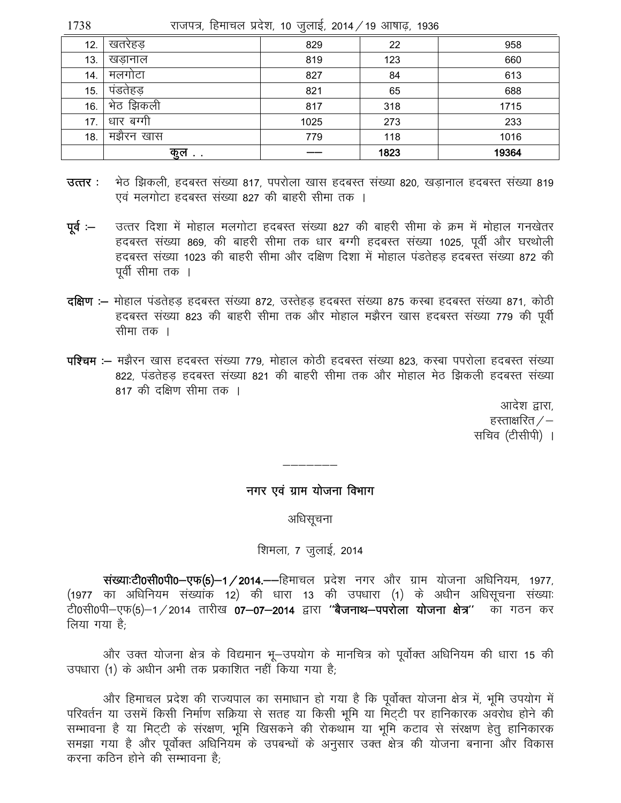| 1738 | राजपत्र, हिमाचल प्रदेश, 10 जुलाई, 2014 ⁄ 19 आषाढ़, 1936 |  |  |  |  |
|------|---------------------------------------------------------|--|--|--|--|
|      |                                                         |  |  |  |  |

| 12. | खतरेहड       | 829  | 22   | 958   |
|-----|--------------|------|------|-------|
| 13. | खडानाल       | 819  | 123  | 660   |
| 14. | मलगाटा       | 827  | 84   | 613   |
| 15. | पडतेहड़      | 821  | 65   | 688   |
| 16. | झिकली<br>ਮਾਰ | 817  | 318  | 1715  |
| 17. | धार बग्गी    | 1025 | 273  | 233   |
| 18. | मझैरन खास    | 779  | 118  | 1016  |
|     | कुल          |      | 1823 | 19364 |

- भेठ झिकली, हदबस्त संख्या 817, पपरोला खास हदबस्त संख्या 820, खडानाल हदबस्त संख्या 819 उत्तर : एवं मलगोटा हदबस्त संख्या 827 की बाहरी सीमा तक ।
- उत्तर दिशा में मोहाल मलगोटा हदबस्त संख्या 827 की बाहरी सीमा के क्रम में मोहाल गनखेतर  $q\bar{q}$  :— हदबस्त संख्या 869, की बाहरी सीमा तक धार बग्गी हदबस्त संख्या 1025, पूर्वी और घरथोली हृदबस्त संख्या 1023 की बाहरी सीमा और दक्षिण दिशा में मोहाल पंडतेहड़ हृदबस्त संख्या 872 की पूर्वी सीमा तक ।
- दक्षिण :– मोहाल पंडतेहड हदबस्त संख्या 872, उस्तेहड हदबस्त संख्या 875 कस्बा हदबस्त संख्या 871, कोठी हृदबस्त संख्या 823 की बाहरी सीमा तक और मोहाल मझैरन खास हृदबस्त संख्या 779 की पूर्वी सीमा तक ।
- **पश्चिम :–** मझैरन खास हदबस्त संख्या 779, मोहाल कोठी हदबस्त संख्या 823, कस्बा पपरोला हदबस्त संख्या 822, पंडतेहड हदबस्त संख्या 821 की बाहरी सीमा तक और मोहाल मेठ झिकली हदबस्त संख्या 817 की दक्षिण सीमा तक ।

आदेश द्वारा. हस्ताक्षरित  $/-$ सचिव (टीसीपी) ।

### नगर एवं ग्राम योजना विभाग

अधिसूचना

#### शिमला, 7 जुलाई, 2014

संख्याःटी0सी0पी0–एफ(5)–1 / 2014.—–हिमाचल प्रदेश नगर और ग्राम योजना अधिनियम, 1977, (1977 का अधिनियम संख्यांक 12) की धारा 13 की उपधारा (1) के अधीन अधिसूचना संख्याः .<br>टी0सी0पी—एफ(5)—1 ⁄ 2014 तारीख **07—07—2014** द्वारा ''**बैजनाथ—पपरोला योजना क्षेत्र''** का गठन कर लिया गया है<sup>.</sup>

और उक्त योजना क्षेत्र के विद्यमान भू-उपयोग के मानचित्र को पूर्वोक्त अधिनियम की धारा 15 की उपधारा (1) के अधीन अभी तक प्रकाशित नहीं किया गया है;

और हिमाचल प्रदेश की राज्यपाल का समाधान हो गया है कि पूर्वोक्त योजना क्षेत्र में, भूमि उपयोग में परिवर्तन या उसमें किसी निर्माण सक्रिया से सतह या किसी भूमि या मिट्टी पर हानिकारक अवरोध होने की सम्भावना है या मिट्टी के संरक्षण, भूमि खिसकने की रोकथाम या भूमि कटाव से संरक्षण हेतु हानिकारक समझा गया है और पूर्वोक्त अधिनियम के उपबन्धों के अनुसार उक्त क्षेत्र की योजना बनाना और विकास करना कठिन होने की सम्भावना है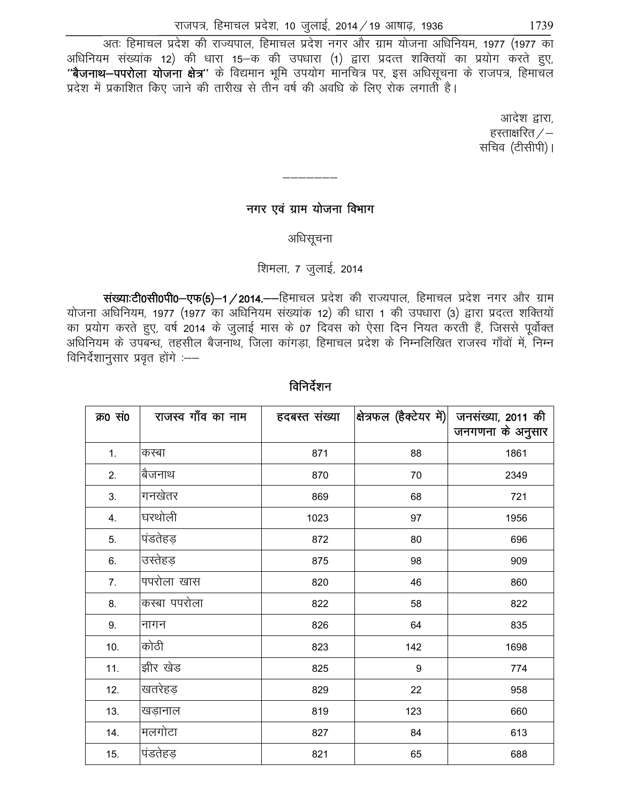,<br>अतः हिमाचल प्रदेश की राज्यपाल, हिमाचल प्रदेश नगर और ग्राम योजना अधिनियम, 1977 (1977 का अधिनियम संख्यांक 12) की धारा 15-क की उपधारा (1) द्वारा प्रदत्त शक्तियों का प्रयोग करते हुए, "बैजनाथ-पपरोला योजना क्षेत्र" के विद्यमान भूमि उपयोग मानचित्र पर, इस अधिसूचना के राजपत्र, हिमाचल प्रदेश में प्रकाशित किए जाने की तारीख से तीन वर्ष की अवधि के लिए रोक लगाती है।

> आदेश द्वारा. हस्ताक्षरित $\angle$ – सचिव (टीसीपी)।

## नगर एवं ग्राम योजना विभाग

———————

अधिसूचना

## शिमला, 7 जुलाई, 2014

संख्याःटी0सी0पी0-एफ(5)-1/2014.--हिमाचल प्रदेश की राज्यपाल, हिमाचल प्रदेश नगर और ग्राम योजना अधिनियम, 1977 (1977 का अधिनियम संख्यांक 12) की धारा 1 की उपधारा (3) द्वारा प्रदत्त शक्तियों का प्रयोग करते हुए, वर्ष 2014 के जुलाई मास के 07 दिवस को ऐसा दिन नियत करती हैं, जिससे पूर्वोक्त अधिनियम के उपबन्ध, तहसील बैजनाथ, जिला कांगडा, हिमाचल प्रदेश के निम्नलिखित राजस्व गाँवों में, निम्न विनिर्देशानसार प्रवत होंगे $-$ 

| क्र0 सं0 | राजस्व गाँव का नाम | हदबस्त संख्या | शित्रफल (हैक्टेयर में) | जनसंख्या, 2011 की<br>जनगणना के अनुसार |
|----------|--------------------|---------------|------------------------|---------------------------------------|
| 1.       | कस्बा              | 871           | 88                     | 1861                                  |
| 2.       | बैजनाथ             | 870           | 70                     | 2349                                  |
| 3.       | गनखेतर             | 869           | 68                     | 721                                   |
| 4.       | घरथोली             | 1023          | 97                     | 1956                                  |
| 5.       | पंडतेहड़           | 872           | 80                     | 696                                   |
| 6.       | उस्तेहड़           | 875           | 98                     | 909                                   |
| 7.       | पपरोला खास         | 820           | 46                     | 860                                   |
| 8.       | कस्बा पपरोला       | 822           | 58                     | 822                                   |
| 9.       | नागन               | 826           | 64                     | 835                                   |
| 10.      | कोठी               | 823           | 142                    | 1698                                  |
| 11.      | झीर खेड            | 825           | 9                      | 774                                   |
| 12.      | खतरेहड़            | 829           | 22                     | 958                                   |
| 13.      | खड़ानाल            | 819           | 123                    | 660                                   |
| 14.      | मलगोटा             | 827           | 84                     | 613                                   |
| 15.      | पंडतेहड़           | 821           | 65                     | 688                                   |

### विनिर्देशन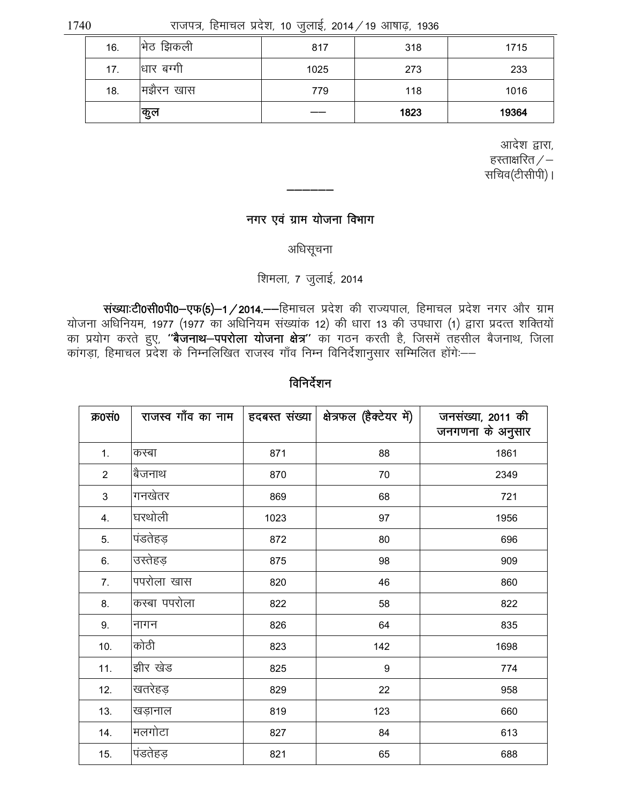1740

राजपत्र, हिमाचल प्रदेश, 10 जुलाई, 2014 / 19 आषाढ़, 1936

| 16. | भिंठ झिकली | 817  | 318  | 1715  |
|-----|------------|------|------|-------|
| 17. | धार बग्गी  | 1025 | 273  | 233   |
| 18. | मझैरन खास  | 779  | 118  | 1016  |
|     | कुल        |      | 1823 | 19364 |

आदेश द्वारा, हस्ताक्षरित $\angle -$ सचिव(टीसीपी)।

## नगर एवं ग्राम योजना विभाग

अधिसूचना

### शिमला, 7 जुलाई, 2014

संख्याःटी0सी0पी0-एफ(5)-1/2014.--हिमाचल प्रदेश की राज्यपाल, हिमाचल प्रदेश नगर और ग्राम योजना अधिनियम, 1977 (1977 का अधिनियम संख्यांक 12) की धारा 13 की उपधारा (1) द्वारा प्रदत्त शक्तियों नामा जाना गाम, लिए होता हो जाना गाम से जाता है। ही नामा से लिए काम से समय होता प्रयास करता हो तो मां<br>का प्रयोग करते हुए, **''बैजनाथ—पपरोला योजना क्षेत्र''** का गठन करती है, जिसमें तहसील बैजनाथ, जिला<br>कांगड़ा, हिमाचल प्रदेश क

| क्र0सं0        | राजस्व गाँव का नाम |      | हदबस्त संख्या   क्षेत्रफल (हैक्टेयर में) | जनसंख्या, 2011 की<br>जनगणना के अनुसार |
|----------------|--------------------|------|------------------------------------------|---------------------------------------|
| 1.             | कस्बा              | 871  | 88                                       | 1861                                  |
| $\overline{2}$ | बैजनाथ             | 870  | 70                                       | 2349                                  |
| 3              | गनखेतर             | 869  | 68                                       | 721                                   |
| 4.             | घरथोली             | 1023 | 97                                       | 1956                                  |
| 5.             | पंडतेहड़           | 872  | 80                                       | 696                                   |
| 6.             | उस्तेहड़           | 875  | 98                                       | 909                                   |
| 7.             | पपरोला खास         | 820  | 46                                       | 860                                   |
| 8.             | कस्बा पपरोला       | 822  | 58                                       | 822                                   |
| 9.             | नागन               | 826  | 64                                       | 835                                   |
| 10.            | कोठी               | 823  | 142                                      | 1698                                  |
| 11.            | झीर खेड            | 825  | $\boldsymbol{9}$                         | 774                                   |
| 12.            | खतरेहड़            | 829  | 22                                       | 958                                   |
| 13.            | खड़ानाल            | 819  | 123                                      | 660                                   |
| 14.            | मलगोटा             | 827  | 84                                       | 613                                   |
| 15.            | पंडतेहड़           | 821  | 65                                       | 688                                   |

विनिर्देशन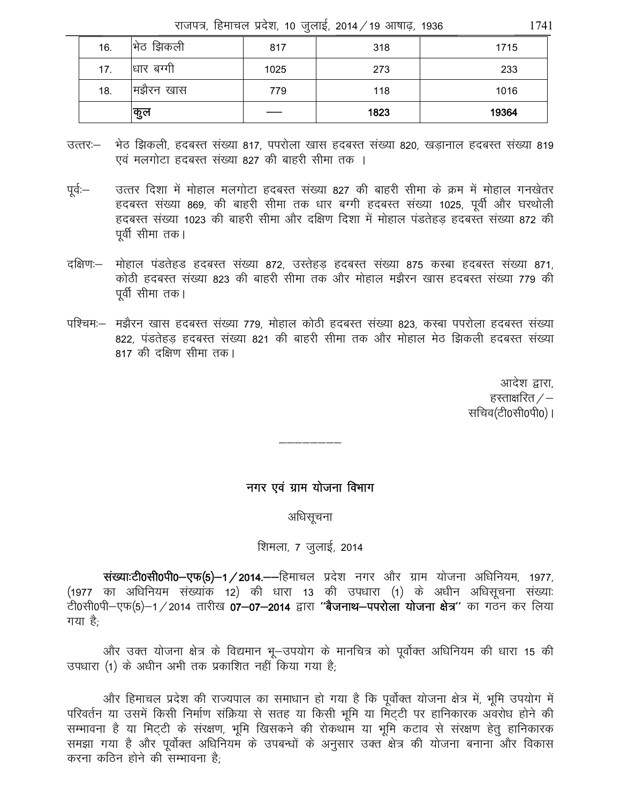राजपत्र, हिमाचल प्रदेश, 10 जुलाई, 2014 / 19 आषाढ, 1936

| 16. | झिकली<br>ਸਿਰ | 817  | 318  | 1715  |
|-----|--------------|------|------|-------|
| 17. | धार बग्गी    | 1025 | 273  | 233   |
| 18. | मझैरन खास    | 779  | 118  | 1016  |
|     | कुल          |      | 1823 | 19364 |

- उत्तर:— भेठ झिकली, हदबस्त संख्या 817, पपरोला खास हदबस्त संख्या 820, खड़ानाल हदबस्त संख्या 819 एवं मलगोटा हदबस्त संख्या 827 की बाहरी सीमा तक ।
- उत्तर दिशा में मोहाल मलगोटा हदबस्त संख्या 827 की बाहरी सीमा के क्रम में मोहाल गनखेतर पूर्व:— हृदबस्त संख्या 869, की बाहरी सीमा तक धार बग्गी हृदबस्त संख्या 1025, पूर्वी और घरथोली हृदबस्त संख्या 1023 की बाहरी सीमा और दक्षिण दिशा में मोहाल पंडतेहड़ हृदबस्त संख्या 872 की पूर्वी सीमा तक।
- मोहाल पंडतेहड हदबस्त संख्या 872, उस्तेहड़ हदबस्त संख्या 875 कस्बा हदबस्त संख्या 871, दक्षिण:— कोठी हदबस्त संख्या 823 की बाहरी सीमा तक और मोहाल मझैरन खास हदबस्त संख्या 779 की पर्वी सीमा तक।
- पश्चिम:–) मझैरन खास हदबस्त संख्या 779, मोहाल कोठी हदबस्त संख्या 823, कस्बा पपरोला हदबस्त संख्या 822, पंडतेहड़ हदबस्त संख्या 821 की बाहरी सीमा तक और मोहाल मेठ झिकली हदबस्त संख्या 817 की दक्षिण सीमा तक।

आदेश द्वारा, हस्ताक्षरित $\angle -$ सचिव(टी0सी0पी0)।

### नगर एवं ग्राम योजना विभाग

अधिसूचना

### शिमला, 7 जुलाई, 2014

संख्याःटी0सी0पी0-एफ(5)-1/2014.--हिमाचल प्रदेश नगर और ग्राम योजना अधिनियम, 1977, (1977 का अधिनियम संख्यांक 12) की धारा 13 की उपधारा (1) के अधीन अधिसूचना संख्याः .<br>टी0सी0पी-एफ(5)-1/2014 तारीख 07-07-2014 द्वारा "बैजनाथ-पपरोला योजना क्षेत्र" का गठन कर लिया गया है:

और उक्त योजना क्षेत्र के विद्यमान भू-उपयोग के मानचित्र को पूर्वोक्त अधिनियम की धारा 15 की उपधारा (1) के अधीन अभी तक प्रकाशित नहीं किया गया है:

और हिमाचल प्रदेश की राज्यपाल का समाधान हो गया है कि पूर्वोक्त योजना क्षेत्र में, भूमि उपयोग में सम्भावना है या मिट्टी के संरक्षण, भूमि खिसकने की रोकथांम या भूमि कटाव से संरक्षण हेतु हानिकारक समझा गया है और पूर्वोक्त अधिनियम के उपबन्धों के अनुसार उक्त क्षेत्र की योजना बनाना और विकास करना कठिन होने की सम्भावना है<sup>.</sup>

1741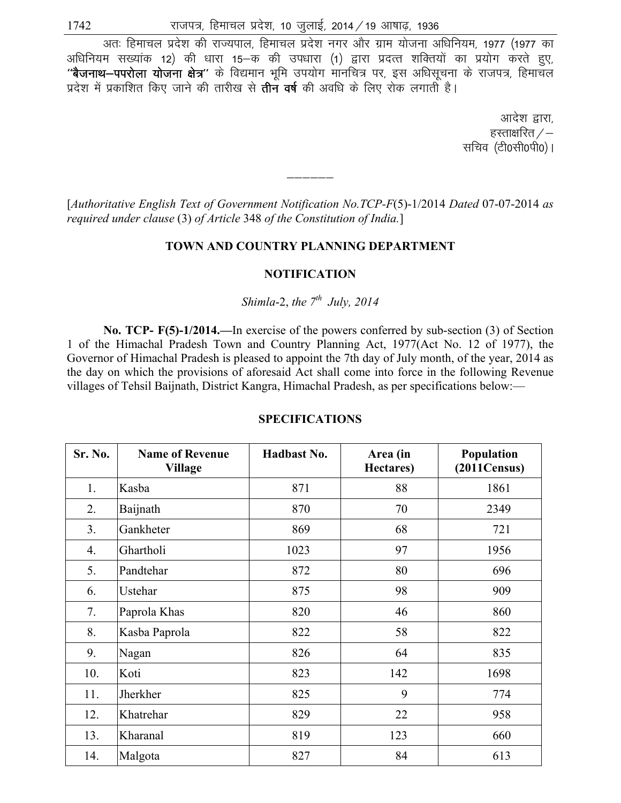अतः हिमाचल प्रदेश की राज्यपाल, हिमाचल प्रदेश नगर और ग्राम योजना अधिनियम, 1977 (1977 का अधिनियम सख्यांक 12) की धारा 15-क की उपधारा (1) द्वारा प्रदत्त शक्तियों का प्रयोग करते हुए, \*बैजनाथ-पपरोला योजना क्षेत्र" के विद्यमान भमि उपयोग मानचित्र पर, इस अधिसचना के राजपत्र, हिमाचल प्रदेश में प्रकाशित किए जाने की तारीख से **तीन वर्ष** की अवधि के लिए रोक लगाती है।

> आदेश द्वारा. हस्ताक्षरित $\angle$ – सचिव (टी0सी0पी0)।

[*Authoritative English Text of Government Notification No.TCP-F*(5)-1/2014 *Dated* 07-07-2014 *as required under clause* (3) *of Article* 348 *of the Constitution of India.*]

——————<br>——————

#### **TOWN AND COUNTRY PLANNING DEPARTMENT**

#### **NOTIFICATION**

*Shimla-2, the*  $7<sup>th</sup>$  *July, 2014* 

 **No. TCP- F(5)-1/2014.—**In exercise of the powers conferred by sub-section (3) of Section 1 of the Himachal Pradesh Town and Country Planning Act, 1977(Act No. 12 of 1977), the Governor of Himachal Pradesh is pleased to appoint the 7th day of July month, of the year, 2014 as the day on which the provisions of aforesaid Act shall come into force in the following Revenue villages of Tehsil Baijnath, District Kangra, Himachal Pradesh, as per specifications below:—

| Sr. No. | <b>Name of Revenue</b><br><b>Village</b> | <b>Hadbast No.</b> | Area (in<br>Hectares) | Population<br>(2011Census) |
|---------|------------------------------------------|--------------------|-----------------------|----------------------------|
| 1.      | Kasba                                    | 871                | 88                    | 1861                       |
| 2.      | Baijnath                                 | 870                | 70                    | 2349                       |
| 3.      | Gankheter                                | 869                | 68                    | 721                        |
| 4.      | Ghartholi                                | 1023               | 97                    | 1956                       |
| 5.      | Pandtehar                                | 872                | 80                    | 696                        |
| 6.      | Ustehar                                  | 875                | 98                    | 909                        |
| 7.      | Paprola Khas                             | 820                | 46                    | 860                        |
| 8.      | Kasba Paprola                            | 822                | 58                    | 822                        |
| 9.      | Nagan                                    | 826                | 64                    | 835                        |
| 10.     | Koti                                     | 823                | 142                   | 1698                       |
| 11.     | Jherkher                                 | 825                | 9                     | 774                        |
| 12.     | Khatrehar                                | 829                | 22                    | 958                        |
| 13.     | Kharanal                                 | 819                | 123                   | 660                        |
| 14.     | Malgota                                  | 827                | 84                    | 613                        |

#### **SPECIFICATIONS**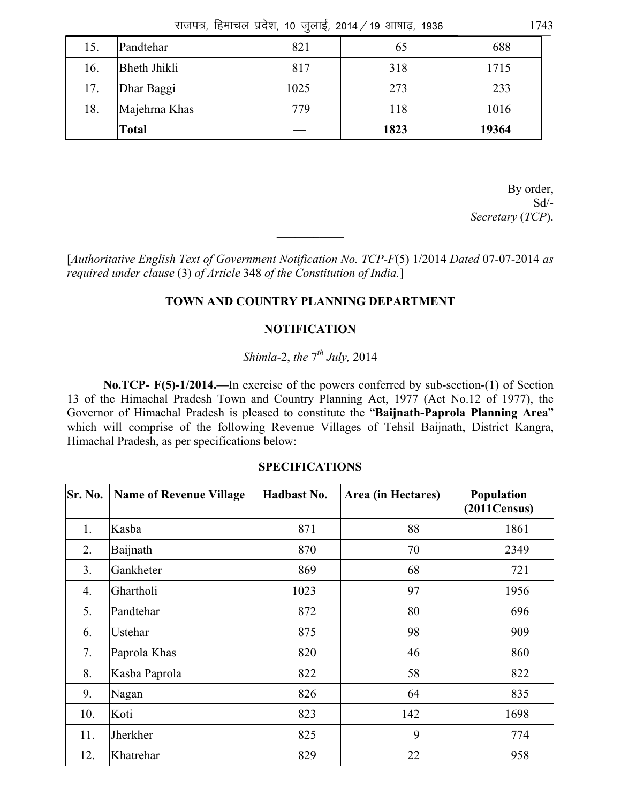राजपत्र, हिमाचल प्रदेश, 10 जुलाई, 2014 / 19 आषाढ़, 1936  $1743$ 

| 15. | Pandtehar           | 821  | 65   | 688   |
|-----|---------------------|------|------|-------|
| 16. | <b>Bheth Jhikli</b> | 817  | 318  | 1715  |
| 17. | Dhar Baggi          | 1025 | 273  | 233   |
| 18. | Majehrna Khas       | 779  | 118  | 1016  |
|     | Total               |      | 1823 | 19364 |

By order, Sd/- *Secretary* (*TCP*).

[*Authoritative English Text of Government Notification No. TCP-F*(5) 1/2014 *Dated* 07-07-2014 *as required under clause* (3) *of Article* 348 *of the Constitution of India.*]

**\_\_\_\_\_\_\_\_\_\_\_** 

### **TOWN AND COUNTRY PLANNING DEPARTMENT**

### **NOTIFICATION**

## *Shimla*-2, *the* 7*th July,* 2014

 **No.TCP- F(5)-1/2014.—**In exercise of the powers conferred by sub-section-(1) of Section 13 of the Himachal Pradesh Town and Country Planning Act, 1977 (Act No.12 of 1977), the Governor of Himachal Pradesh is pleased to constitute the "**Baijnath-Paprola Planning Area**" which will comprise of the following Revenue Villages of Tehsil Baijnath, District Kangra, Himachal Pradesh, as per specifications below:—

| Sr. No. | <b>Name of Revenue Village</b> | Hadbast No. | Area (in Hectares) | Population<br>(2011Census) |
|---------|--------------------------------|-------------|--------------------|----------------------------|
| 1.      | Kasba                          | 871         | 88                 | 1861                       |
| 2.      | Baijnath                       | 870         | 70                 | 2349                       |
| 3.      | Gankheter                      | 869         | 68                 | 721                        |
| 4.      | Ghartholi                      | 1023        | 97                 | 1956                       |
| 5.      | Pandtehar                      | 872         | 80                 | 696                        |
| 6.      | Ustehar                        | 875         | 98                 | 909                        |
| 7.      | Paprola Khas                   | 820         | 46                 | 860                        |
| 8.      | Kasba Paprola                  | 822         | 58                 | 822                        |
| 9.      | Nagan                          | 826         | 64                 | 835                        |
| 10.     | Koti                           | 823         | 142                | 1698                       |
| 11.     | Jherkher                       | 825         | 9                  | 774                        |
| 12.     | Khatrehar                      | 829         | 22                 | 958                        |

#### **SPECIFICATIONS**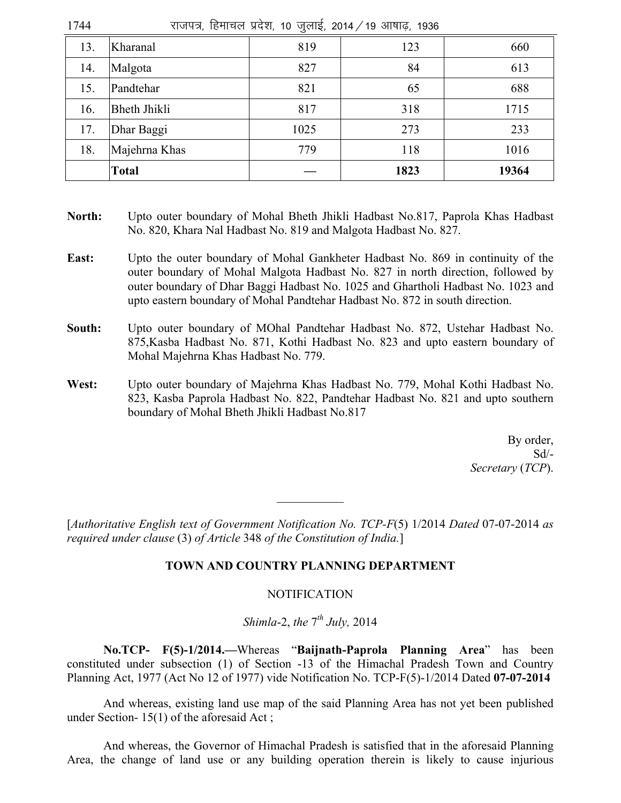| राजपत्र, हिमाचल प्रदेश, 10 जुलाई, 2014 / 19 आषाढ़, 1936<br>1744 |                     |      |      |       |
|-----------------------------------------------------------------|---------------------|------|------|-------|
| 13.                                                             | Kharanal            | 819  | 123  | 660   |
| 14.                                                             | Malgota             | 827  | 84   | 613   |
| 15.                                                             | Pandtehar           | 821  | 65   | 688   |
| 16.                                                             | <b>Bheth Jhikli</b> | 817  | 318  | 1715  |
| 17.                                                             | Dhar Baggi          | 1025 | 273  | 233   |
| 18.                                                             | Majehrna Khas       | 779  | 118  | 1016  |
|                                                                 | <b>Total</b>        |      | 1823 | 19364 |

- **North:** Upto outer boundary of Mohal Bheth Jhikli Hadbast No.817, Paprola Khas Hadbast No. 820, Khara Nal Hadbast No. 819 and Malgota Hadbast No. 827.
- **East:** Upto the outer boundary of Mohal Gankheter Hadbast No. 869 in continuity of the outer boundary of Mohal Malgota Hadbast No. 827 in north direction, followed by outer boundary of Dhar Baggi Hadbast No. 1025 and Ghartholi Hadbast No. 1023 and upto eastern boundary of Mohal Pandtehar Hadbast No. 872 in south direction.
- **South:** Upto outer boundary of MOhal Pandtehar Hadbast No. 872, Ustehar Hadbast No. 875,Kasba Hadbast No. 871, Kothi Hadbast No. 823 and upto eastern boundary of Mohal Majehrna Khas Hadbast No. 779.
- **West:** Upto outer boundary of Majehrna Khas Hadbast No. 779, Mohal Kothi Hadbast No. 823, Kasba Paprola Hadbast No. 822, Pandtehar Hadbast No. 821 and upto southern boundary of Mohal Bheth Jhikli Hadbast No.817

By order,  $Sd/-$ *Secretary* (*TCP*).

[*Authoritative English text of Government Notification No. TCP-F*(5) 1/2014 *Dated* 07-07-2014 *as required under clause* (3) *of Article* 348 *of the Constitution of India.*]

 $\frac{1}{2}$ 

### **TOWN AND COUNTRY PLANNING DEPARTMENT**

### **NOTIFICATION**

*Shimla*-2, *the* 7*th July,* 2014

 **No.TCP- F(5)-1/2014.—**Whereas "**Baijnath-Paprola Planning Area**" has been constituted under subsection (1) of Section -13 of the Himachal Pradesh Town and Country Planning Act, 1977 (Act No 12 of 1977) vide Notification No. TCP-F(5)-1/2014 Dated **07-07-2014** 

And whereas, existing land use map of the said Planning Area has not yet been published under Section- 15(1) of the aforesaid Act ;

 And whereas, the Governor of Himachal Pradesh is satisfied that in the aforesaid Planning Area, the change of land use or any building operation therein is likely to cause injurious